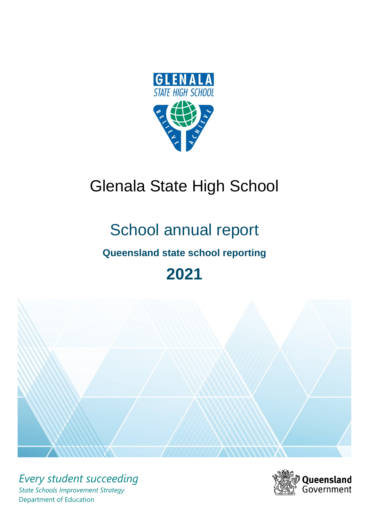

# Glenala State High School

# School annual report

# **Queensland state school reporting**

# **2021**



*Every student succeeding State Schools Improvement Strategy* Department of Education

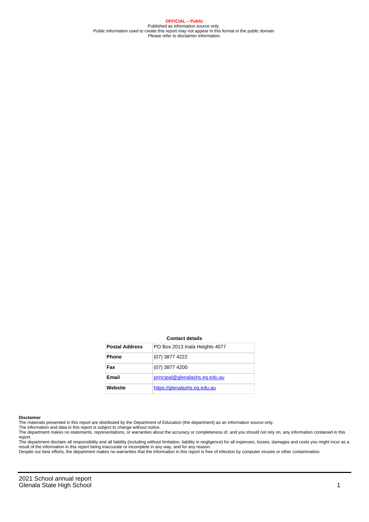**OFFICIAL – Public** Published as information source only. Public information used to create this report may not appear in this format in the public domain Please refer to disclaimer information.

#### **Contact details**

| <b>Postal Address</b> | PO Box 2013 Inala Heights 4077 |
|-----------------------|--------------------------------|
| <b>Phone</b>          | (07) 3877 4222                 |
| Fax                   | (07) 3877 4200                 |
| <b>Email</b>          | principal@glenalashs.eq.edu.au |
| Website               | https://glenalashs.eg.edu.au   |

#### **Disclaimer**

The materials presented in this report are distributed by the Department of Education (the department) as an information source only.

The information and data in this report is subject to change without notice.<br>The department makes no statements, representations, or warranties about the accuracy or completeness of, and you should not rely on, any informa report.

The department disclaim all responsibility and all liability (including without limitation, liability in negligence) for all expenses, losses, damages and costs you might incur as a result of the information in this report being inaccurate or incomplete in any way, and for any reason. Despite our best efforts, the department makes no warranties that the information in this report is free of infection by computer viruses or other contamination.

2021 School annual report Glenala State High School 2008 and 2008 and 2008 and 2008 and 2008 and 2008 and 2008 and 2008 and 2008 and 200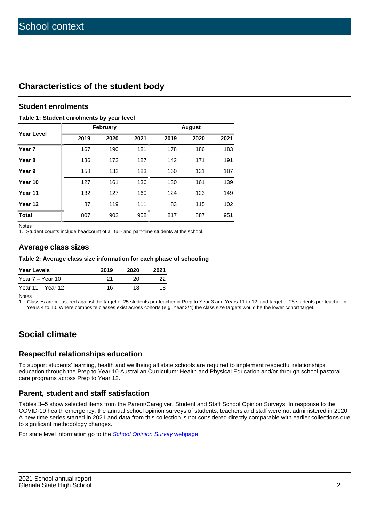## **Characteristics of the student body**

#### **Student enrolments**

#### **Table 1: Student enrolments by year level**

|                   |      | February |      | <b>August</b> |      |      |  |  |
|-------------------|------|----------|------|---------------|------|------|--|--|
| <b>Year Level</b> | 2019 | 2020     | 2021 | 2019          | 2020 | 2021 |  |  |
| Year 7            | 167  | 190      | 181  | 178           | 186  | 183  |  |  |
| Year <sub>8</sub> | 136  | 173      | 187  | 142           | 171  | 191  |  |  |
| Year 9            | 158  | 132      | 183  | 160           | 131  | 187  |  |  |
| Year 10           | 127  | 161      | 136  | 130           | 161  | 139  |  |  |
| Year 11           | 132  | 127      | 160  | 124           | 123  | 149  |  |  |
| Year 12           | 87   | 119      | 111  | 83            | 115  | 102  |  |  |
| <b>Total</b>      | 807  | 902      | 958  | 817           | 887  | 951  |  |  |

Notes

1. Student counts include headcount of all full- and part-time students at the school.

#### **Average class sizes**

#### **Table 2: Average class size information for each phase of schooling**

| <b>Year Levels</b> | 2019 | 2020 | 2021 |
|--------------------|------|------|------|
| Year 7 – Year 10   | 21   | 20   | 22   |
| Year 11 – Year 12  | 16   | 18.  | 18   |

Notes

1. Classes are measured against the target of 25 students per teacher in Prep to Year 3 and Years 11 to 12, and target of 28 students per teacher in Years 4 to 10. Where composite classes exist across cohorts (e.g. Year 3/4) the class size targets would be the lower cohort target.

# **Social climate**

#### **Respectful relationships education**

To support students' learning, health and wellbeing all state schools are required to implement respectful relationships education through the Prep to Year 10 Australian Curriculum: Health and Physical Education and/or through school pastoral care programs across Prep to Year 12.

#### **Parent, student and staff satisfaction**

Tables 3–5 show selected items from the Parent/Caregiver, Student and Staff School Opinion Surveys. In response to the COVID-19 health emergency, the annual school opinion surveys of students, teachers and staff were not administered in 2020. A new time series started in 2021 and data from this collection is not considered directly comparable with earlier collections due to significant methodology changes.

For state level information go to the **[School Opinion Survey](https://qed.qld.gov.au/publications/reports/statistics/schooling/schools/schoolopinionsurvey) webpage**.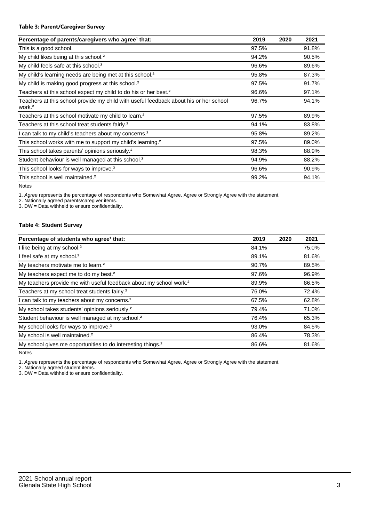#### **Table 3: Parent/Caregiver Survey**

| Percentage of parents/caregivers who agree <sup>1</sup> that:                                               | 2019  | 2020 | 2021  |
|-------------------------------------------------------------------------------------------------------------|-------|------|-------|
| This is a good school.                                                                                      | 97.5% |      | 91.8% |
| My child likes being at this school. <sup>2</sup>                                                           | 94.2% |      | 90.5% |
| My child feels safe at this school. <sup>2</sup>                                                            | 96.6% |      | 89.6% |
| My child's learning needs are being met at this school. <sup>2</sup>                                        | 95.8% |      | 87.3% |
| My child is making good progress at this school. <sup>2</sup>                                               | 97.5% |      | 91.7% |
| Teachers at this school expect my child to do his or her best. <sup>2</sup>                                 | 96.6% |      | 97.1% |
| Teachers at this school provide my child with useful feedback about his or her school<br>work. <sup>2</sup> | 96.7% |      | 94.1% |
| Teachers at this school motivate my child to learn. <sup>2</sup>                                            | 97.5% |      | 89.9% |
| Teachers at this school treat students fairly. <sup>2</sup>                                                 | 94.1% |      | 83.8% |
| can talk to my child's teachers about my concerns. <sup>2</sup>                                             | 95.8% |      | 89.2% |
| This school works with me to support my child's learning. <sup>2</sup>                                      | 97.5% |      | 89.0% |
| This school takes parents' opinions seriously. <sup>2</sup>                                                 | 98.3% |      | 88.9% |
| Student behaviour is well managed at this school. <sup>2</sup>                                              | 94.9% |      | 88.2% |
| This school looks for ways to improve. <sup>2</sup>                                                         | 96.6% |      | 90.9% |
| This school is well maintained. <sup>2</sup>                                                                | 99.2% |      | 94.1% |

Notes

1. Agree represents the percentage of respondents who Somewhat Agree, Agree or Strongly Agree with the statement.

2. Nationally agreed parents/caregiver items.

3. DW = Data withheld to ensure confidentiality.

#### **Table 4: Student Survey**

| Percentage of students who agree <sup>1</sup> that:                            | 2019  | 2020 | 2021  |
|--------------------------------------------------------------------------------|-------|------|-------|
| I like being at my school. <sup>2</sup>                                        | 84.1% |      | 75.0% |
| I feel safe at my school. <sup>2</sup>                                         | 89.1% |      | 81.6% |
| My teachers motivate me to learn. <sup>2</sup>                                 | 90.7% |      | 89.5% |
| My teachers expect me to do my best. <sup>2</sup>                              | 97.6% |      | 96.9% |
| My teachers provide me with useful feedback about my school work. <sup>2</sup> | 89.9% |      | 86.5% |
| Teachers at my school treat students fairly. <sup>2</sup>                      | 76.0% |      | 72.4% |
| I can talk to my teachers about my concerns. <sup>2</sup>                      | 67.5% |      | 62.8% |
| My school takes students' opinions seriously. <sup>2</sup>                     | 79.4% |      | 71.0% |
| Student behaviour is well managed at my school. <sup>2</sup>                   | 76.4% |      | 65.3% |
| My school looks for ways to improve. <sup>2</sup>                              | 93.0% |      | 84.5% |
| My school is well maintained. <sup>2</sup>                                     | 86.4% |      | 78.3% |
| My school gives me opportunities to do interesting things. <sup>2</sup>        | 86.6% |      | 81.6% |

Notes

1. Agree represents the percentage of respondents who Somewhat Agree, Agree or Strongly Agree with the statement.

2. Nationally agreed student items.

3. DW = Data withheld to ensure confidentiality.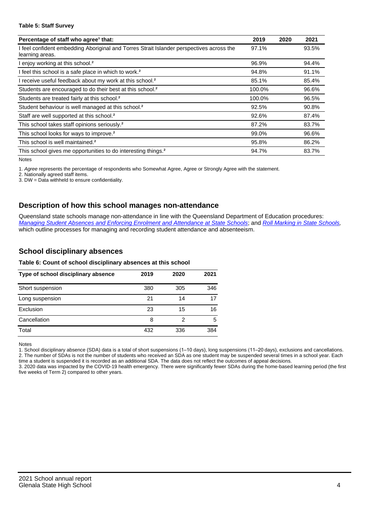#### **Table 5: Staff Survey**

| Percentage of staff who agree <sup>1</sup> that:                                                            | 2019   | 2020 | 2021  |
|-------------------------------------------------------------------------------------------------------------|--------|------|-------|
| I feel confident embedding Aboriginal and Torres Strait Islander perspectives across the<br>learning areas. | 97.1%  |      | 93.5% |
| I enjoy working at this school. <sup>2</sup>                                                                | 96.9%  |      | 94.4% |
| I feel this school is a safe place in which to work. <sup>2</sup>                                           | 94.8%  |      | 91.1% |
| I receive useful feedback about my work at this school. <sup>2</sup>                                        | 85.1%  |      | 85.4% |
| Students are encouraged to do their best at this school. <sup>2</sup>                                       | 100.0% |      | 96.6% |
| Students are treated fairly at this school. <sup>2</sup>                                                    | 100.0% |      | 96.5% |
| Student behaviour is well managed at this school. <sup>2</sup>                                              | 92.5%  |      | 90.8% |
| Staff are well supported at this school. <sup>2</sup>                                                       | 92.6%  |      | 87.4% |
| This school takes staff opinions seriously. <sup>2</sup>                                                    | 87.2%  |      | 83.7% |
| This school looks for ways to improve. <sup>2</sup>                                                         | 99.0%  |      | 96.6% |
| This school is well maintained. <sup>2</sup>                                                                | 95.8%  |      | 86.2% |
| This school gives me opportunities to do interesting things. <sup>2</sup>                                   | 94.7%  |      | 83.7% |

Notes

1. Agree represents the percentage of respondents who Somewhat Agree, Agree or Strongly Agree with the statement.

2. Nationally agreed staff items.

3. DW = Data withheld to ensure confidentiality.

#### **Description of how this school manages non-attendance**

Queensland state schools manage non-attendance in line with the Queensland Department of Education procedures: [Managing Student Absences and Enforcing Enrolment and Attendance at State Schools](https://ppr.qed.qld.gov.au/pp/managing-student-absences-and-enforcing-enrolment-and-attendance-at-state-schools-procedure); and [Roll Marking in State Schools,](https://ppr.qed.qld.gov.au/pp/roll-marking-in-state-schools-procedure) which outline processes for managing and recording student attendance and absenteeism.

#### **School disciplinary absences**

#### **Table 6: Count of school disciplinary absences at this school**

| Type of school disciplinary absence | 2019 | 2020 | 2021 |
|-------------------------------------|------|------|------|
| Short suspension                    | 380  | 305  | 346  |
| Long suspension                     | 21   | 14   | 17   |
| Exclusion                           | 23   | 15   | 16   |
| Cancellation                        | 8    | 2    | 5    |
| Total                               | 432  | 336  | 384  |

Notes

1. School disciplinary absence (SDA) data is a total of short suspensions (1–10 days), long suspensions (11–20 days), exclusions and cancellations. 2. The number of SDAs is not the number of students who received an SDA as one student may be suspended several times in a school year. Each time a student is suspended it is recorded as an additional SDA. The data does not reflect the outcomes of appeal decisions.

3. 2020 data was impacted by the COVID-19 health emergency. There were significantly fewer SDAs during the home-based learning period (the first five weeks of Term 2) compared to other years.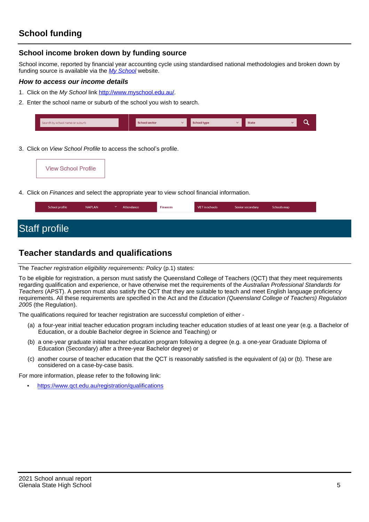#### **School income broken down by funding source**

School income, reported by financial year accounting cycle using standardised national methodologies and broken down by funding source is available via the [My School](http://www.myschool.edu.au/) website.

#### **How to access our income details**

- 1. Click on the My School link <http://www.myschool.edu.au/>.
- 2. Enter the school name or suburb of the school you wish to search.

| Search by school name or suburb | <b>School sector</b> | hool type | <b>State</b> |  |
|---------------------------------|----------------------|-----------|--------------|--|
|                                 |                      |           |              |  |

3. Click on *View School Profile* to access the school's profile.

4. Click on Finances and select the appropriate year to view school financial information.

# **Teacher standards and qualifications**

The Teacher registration eligibility requirements: Policy (p.1) states:

To be eligible for registration, a person must satisfy the Queensland College of Teachers (QCT) that they meet requirements regarding qualification and experience, or have otherwise met the requirements of the Australian Professional Standards for Teachers (APST). A person must also satisfy the QCT that they are suitable to teach and meet English language proficiency requirements. All these requirements are specified in the Act and the Education (Queensland College of Teachers) Regulation 2005 (the Regulation).

The qualifications required for teacher registration are successful completion of either -

- (a) a four-year initial teacher education program including teacher education studies of at least one year (e.g. a Bachelor of Education, or a double Bachelor degree in Science and Teaching) or
- (b) a one-year graduate initial teacher education program following a degree (e.g. a one-year Graduate Diploma of Education (Secondary) after a three-year Bachelor degree) or
- (c) another course of teacher education that the QCT is reasonably satisfied is the equivalent of (a) or (b). These are considered on a case-by-case basis.

For more information, please refer to the following link:

• <https://www.qct.edu.au/registration/qualifications>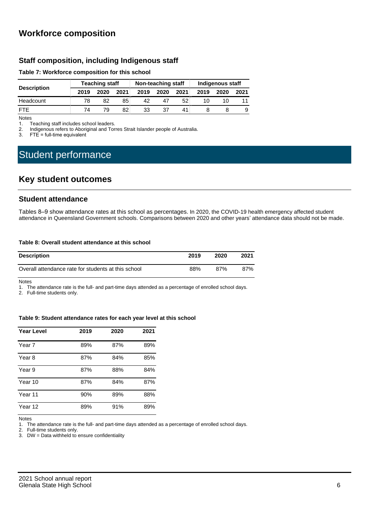### **Workforce composition**

#### **Staff composition, including Indigenous staff**

#### **Table 7: Workforce composition for this school**

|                    | <b>Teaching staff</b> |      |      | Non-teaching staff |      |      | Indigenous staff |      |      |
|--------------------|-----------------------|------|------|--------------------|------|------|------------------|------|------|
| <b>Description</b> | 2019                  | 2020 | 2021 | 2019               | 2020 | 2021 | 2019             | 2020 | 2021 |
| Headcount          | 78                    | 82   | 85   | 42                 |      | 52   |                  |      |      |
| <b>FTF</b>         | 74                    | 79   | 82   | 33                 | 37   |      |                  |      | 9    |

Notes<br>1. T

Teaching staff includes school leaders.

2. Indigenous refers to Aboriginal and Torres Strait Islander people of Australia.<br>3. ETF = full-time equivalent

 $FTE = full-time equivalent$ 

# Student performance

### **Key student outcomes**

#### **Student attendance**

Tables 8–9 show attendance rates at this school as percentages. In 2020, the COVID-19 health emergency affected student attendance in Queensland Government schools. Comparisons between 2020 and other years' attendance data should not be made.

#### **Table 8: Overall student attendance at this school**

| <b>Description</b>                                  | 2019 | 2020 | 2021 |
|-----------------------------------------------------|------|------|------|
| Overall attendance rate for students at this school | 88%  | 87%  | 87%  |

Notes

1. The attendance rate is the full- and part-time days attended as a percentage of enrolled school days.

2. Full-time students only.

#### **Table 9: Student attendance rates for each year level at this school**

| Year Level | 2019 | 2020 | 2021 |
|------------|------|------|------|
| Year 7     | 89%  | 87%  | 89%  |
| Year 8     | 87%  | 84%  | 85%  |
| Year 9     | 87%  | 88%  | 84%  |
| Year 10    | 87%  | 84%  | 87%  |
| Year 11    | 90%  | 89%  | 88%  |
| Year 12    | 89%  | 91%  | 89%  |

Notes

1. The attendance rate is the full- and part-time days attended as a percentage of enrolled school days.

2. Full-time students only.

3. DW = Data withheld to ensure confidentiality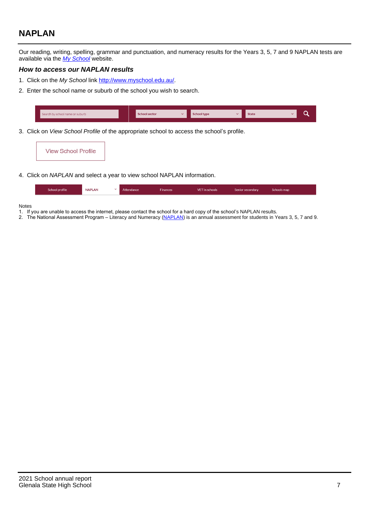# **NAPLAN**

Our reading, writing, spelling, grammar and punctuation, and numeracy results for the Years 3, 5, 7 and 9 NAPLAN tests are available via the [My School](http://www.myschool.edu.au/) website.

#### **How to access our NAPLAN results**

- 1. Click on the My School link <http://www.myschool.edu.au/>.
- 2. Enter the school name or suburb of the school you wish to search.

| Search by school name or suburb | <b>School sector</b> | <b>School type</b>                        |          | <b>State</b> |  |
|---------------------------------|----------------------|-------------------------------------------|----------|--------------|--|
|                                 |                      |                                           |          |              |  |
|                                 |                      | $\sim$ $\sim$ $\sim$ $\sim$ $\sim$ $\sim$ | $\cdots$ |              |  |

3. Click on View School Profile of the appropriate school to access the school's profile.

| <b>View School Profile</b> |
|----------------------------|
|----------------------------|

4. Click on NAPLAN and select a year to view school NAPLAN information.

|  | School profile | <b>NAPLAN</b><br>$\sim$ 1 | Attendance | <b>Finances</b> | <b>VET</b> in schools | Senior secondary | Schools map |
|--|----------------|---------------------------|------------|-----------------|-----------------------|------------------|-------------|
|--|----------------|---------------------------|------------|-----------------|-----------------------|------------------|-------------|

#### Notes

- 1. If you are unable to access the internet, please contact the school for a hard copy of the school's NAPLAN results.
- 2. The National Assessment Program Literacy and Numeracy ([NAPLAN\)](http://www.nap.edu.au/naplan) is an annual assessment for students in Years 3, 5, 7 and 9.